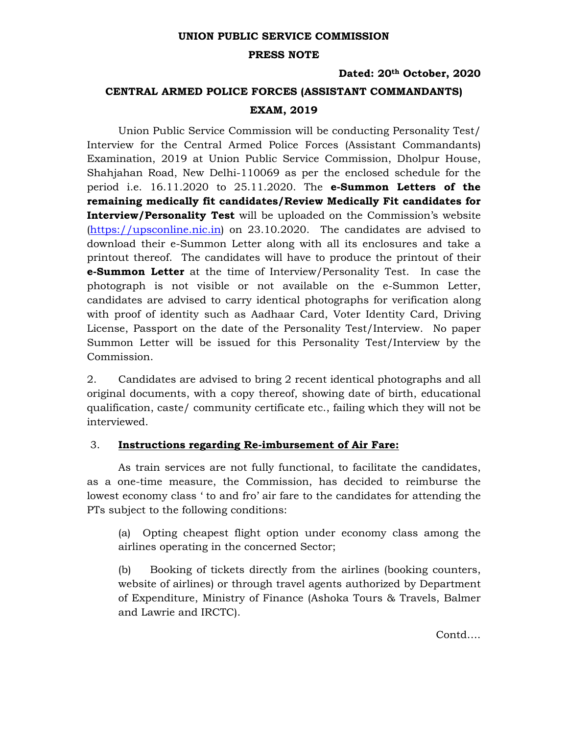## **UNION PUBLIC SERVICE COMMISSION**

#### **PRESS NOTE**

## **Dated: 20th October, 2020**

# **CENTRAL ARMED POLICE FORCES (ASSISTANT COMMANDANTS) EXAM, 2019**

Union Public Service Commission will be conducting Personality Test/ Interview for the Central Armed Police Forces (Assistant Commandants) Examination, 2019 at Union Public Service Commission, Dholpur House, Shahjahan Road, New Delhi-110069 as per the enclosed schedule for the period i.e. 16.11.2020 to 25.11.2020. The **e-Summon Letters of the remaining medically fit candidates/Review Medically Fit candidates for Interview/Personality Test** will be uploaded on the Commission's website (https://upsconline.nic.in) on 23.10.2020. The candidates are advised to download their e-Summon Letter along with all its enclosures and take a printout thereof. The candidates will have to produce the printout of their **e-Summon Letter** at the time of Interview/Personality Test. In case the photograph is not visible or not available on the e-Summon Letter, candidates are advised to carry identical photographs for verification along with proof of identity such as Aadhaar Card, Voter Identity Card, Driving License, Passport on the date of the Personality Test/Interview. No paper Summon Letter will be issued for this Personality Test/Interview by the Commission.

2. Candidates are advised to bring 2 recent identical photographs and all original documents, with a copy thereof, showing date of birth, educational qualification, caste/ community certificate etc., failing which they will not be interviewed.

## 3. **Instructions regarding Re-imbursement of Air Fare:**

As train services are not fully functional, to facilitate the candidates, as a one-time measure, the Commission, has decided to reimburse the lowest economy class ' to and fro' air fare to the candidates for attending the PTs subject to the following conditions:

(a) Opting cheapest flight option under economy class among the airlines operating in the concerned Sector;

(b) Booking of tickets directly from the airlines (booking counters, website of airlines) or through travel agents authorized by Department of Expenditure, Ministry of Finance (Ashoka Tours & Travels, Balmer and Lawrie and IRCTC).

Contd….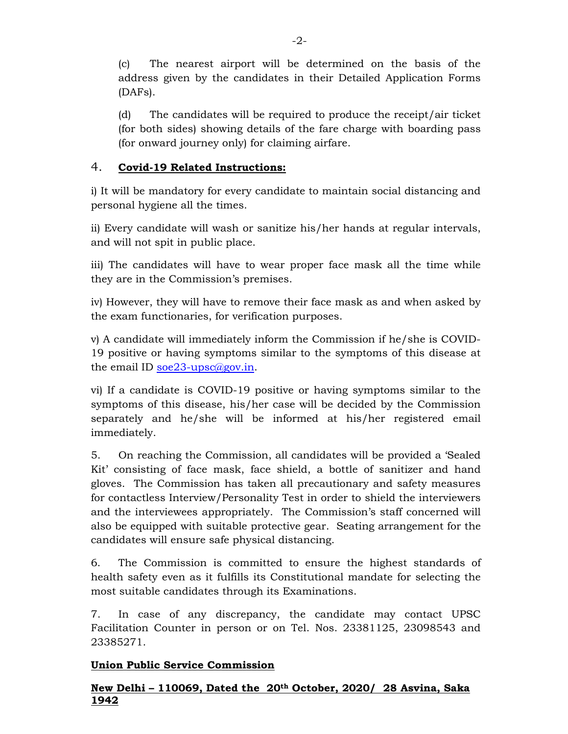(c) The nearest airport will be determined on the basis of the address given by the candidates in their Detailed Application Forms (DAFs).

(d) The candidates will be required to produce the receipt/air ticket (for both sides) showing details of the fare charge with boarding pass (for onward journey only) for claiming airfare.

# 4. **Covid-19 Related Instructions:**

i) It will be mandatory for every candidate to maintain social distancing and personal hygiene all the times.

ii) Every candidate will wash or sanitize his/her hands at regular intervals, and will not spit in public place.

iii) The candidates will have to wear proper face mask all the time while they are in the Commission's premises.

iv) However, they will have to remove their face mask as and when asked by the exam functionaries, for verification purposes.

v) A candidate will immediately inform the Commission if he/she is COVID-19 positive or having symptoms similar to the symptoms of this disease at the email ID soe  $23$ -upsc $\omega$ gov.in.

vi) If a candidate is COVID-19 positive or having symptoms similar to the symptoms of this disease, his/her case will be decided by the Commission separately and he/she will be informed at his/her registered email immediately.

5. On reaching the Commission, all candidates will be provided a 'Sealed Kit' consisting of face mask, face shield, a bottle of sanitizer and hand gloves. The Commission has taken all precautionary and safety measures for contactless Interview/Personality Test in order to shield the interviewers and the interviewees appropriately. The Commission's staff concerned will also be equipped with suitable protective gear. Seating arrangement for the candidates will ensure safe physical distancing.

6. The Commission is committed to ensure the highest standards of health safety even as it fulfills its Constitutional mandate for selecting the most suitable candidates through its Examinations.

7. In case of any discrepancy, the candidate may contact UPSC Facilitation Counter in person or on Tel. Nos. 23381125, 23098543 and 23385271.

# **Union Public Service Commission**

# **New Delhi – 110069, Dated the 20th October, 2020/ 28 Asvina, Saka 1942**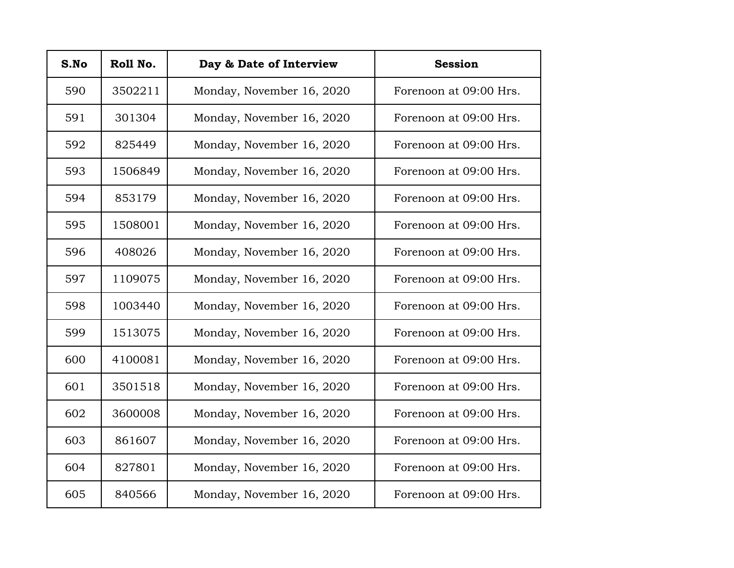| S.No | Roll No. | Day & Date of Interview   | <b>Session</b>         |
|------|----------|---------------------------|------------------------|
| 590  | 3502211  | Monday, November 16, 2020 | Forenoon at 09:00 Hrs. |
| 591  | 301304   | Monday, November 16, 2020 | Forenoon at 09:00 Hrs. |
| 592  | 825449   | Monday, November 16, 2020 | Forenoon at 09:00 Hrs. |
| 593  | 1506849  | Monday, November 16, 2020 | Forenoon at 09:00 Hrs. |
| 594  | 853179   | Monday, November 16, 2020 | Forenoon at 09:00 Hrs. |
| 595  | 1508001  | Monday, November 16, 2020 | Forenoon at 09:00 Hrs. |
| 596  | 408026   | Monday, November 16, 2020 | Forenoon at 09:00 Hrs. |
| 597  | 1109075  | Monday, November 16, 2020 | Forenoon at 09:00 Hrs. |
| 598  | 1003440  | Monday, November 16, 2020 | Forenoon at 09:00 Hrs. |
| 599  | 1513075  | Monday, November 16, 2020 | Forenoon at 09:00 Hrs. |
| 600  | 4100081  | Monday, November 16, 2020 | Forenoon at 09:00 Hrs. |
| 601  | 3501518  | Monday, November 16, 2020 | Forenoon at 09:00 Hrs. |
| 602  | 3600008  | Monday, November 16, 2020 | Forenoon at 09:00 Hrs. |
| 603  | 861607   | Monday, November 16, 2020 | Forenoon at 09:00 Hrs. |
| 604  | 827801   | Monday, November 16, 2020 | Forenoon at 09:00 Hrs. |
| 605  | 840566   | Monday, November 16, 2020 | Forenoon at 09:00 Hrs. |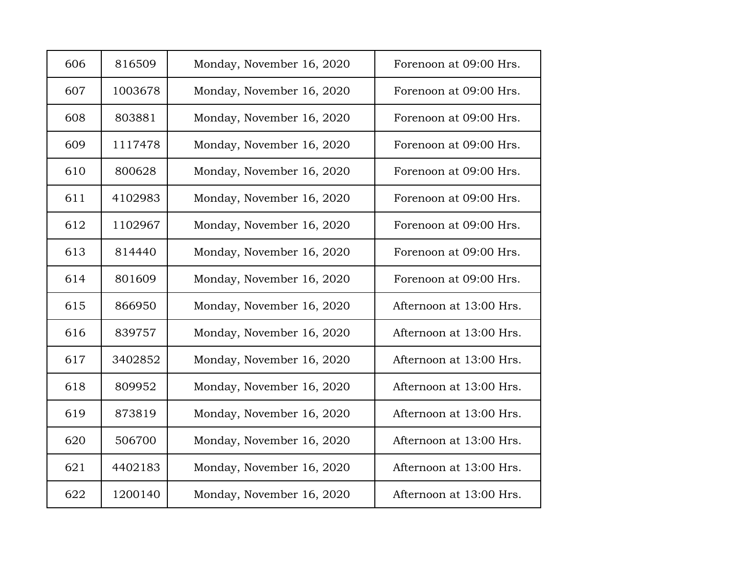| 606 | 816509  | Monday, November 16, 2020 | Forenoon at 09:00 Hrs.  |
|-----|---------|---------------------------|-------------------------|
| 607 | 1003678 | Monday, November 16, 2020 | Forenoon at 09:00 Hrs.  |
| 608 | 803881  | Monday, November 16, 2020 | Forenoon at 09:00 Hrs.  |
| 609 | 1117478 | Monday, November 16, 2020 | Forenoon at 09:00 Hrs.  |
| 610 | 800628  | Monday, November 16, 2020 | Forenoon at 09:00 Hrs.  |
| 611 | 4102983 | Monday, November 16, 2020 | Forenoon at 09:00 Hrs.  |
| 612 | 1102967 | Monday, November 16, 2020 | Forenoon at 09:00 Hrs.  |
| 613 | 814440  | Monday, November 16, 2020 | Forenoon at 09:00 Hrs.  |
| 614 | 801609  | Monday, November 16, 2020 | Forenoon at 09:00 Hrs.  |
| 615 | 866950  | Monday, November 16, 2020 | Afternoon at 13:00 Hrs. |
| 616 | 839757  | Monday, November 16, 2020 | Afternoon at 13:00 Hrs. |
| 617 | 3402852 | Monday, November 16, 2020 | Afternoon at 13:00 Hrs. |
| 618 | 809952  | Monday, November 16, 2020 | Afternoon at 13:00 Hrs. |
| 619 | 873819  | Monday, November 16, 2020 | Afternoon at 13:00 Hrs. |
| 620 | 506700  | Monday, November 16, 2020 | Afternoon at 13:00 Hrs. |
| 621 | 4402183 | Monday, November 16, 2020 | Afternoon at 13:00 Hrs. |
| 622 | 1200140 | Monday, November 16, 2020 | Afternoon at 13:00 Hrs. |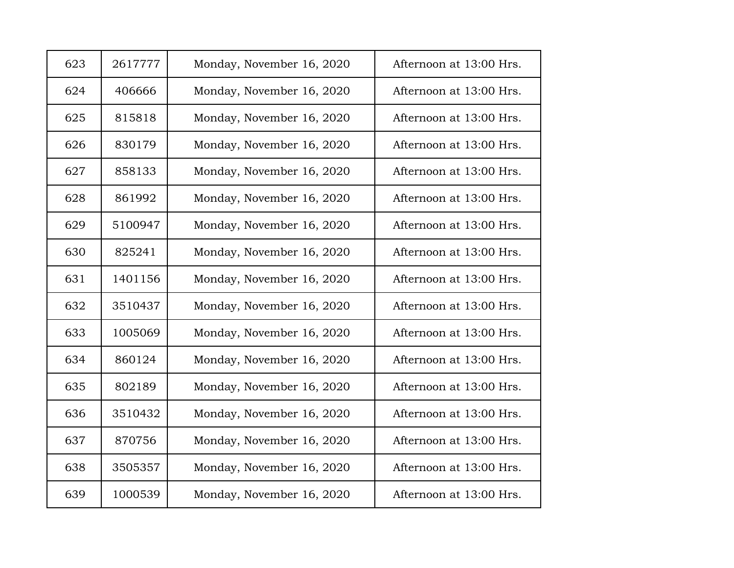| 623 | 2617777 | Monday, November 16, 2020 | Afternoon at 13:00 Hrs. |
|-----|---------|---------------------------|-------------------------|
| 624 | 406666  | Monday, November 16, 2020 | Afternoon at 13:00 Hrs. |
| 625 | 815818  | Monday, November 16, 2020 | Afternoon at 13:00 Hrs. |
| 626 | 830179  | Monday, November 16, 2020 | Afternoon at 13:00 Hrs. |
| 627 | 858133  | Monday, November 16, 2020 | Afternoon at 13:00 Hrs. |
| 628 | 861992  | Monday, November 16, 2020 | Afternoon at 13:00 Hrs. |
| 629 | 5100947 | Monday, November 16, 2020 | Afternoon at 13:00 Hrs. |
| 630 | 825241  | Monday, November 16, 2020 | Afternoon at 13:00 Hrs. |
| 631 | 1401156 | Monday, November 16, 2020 | Afternoon at 13:00 Hrs. |
| 632 | 3510437 | Monday, November 16, 2020 | Afternoon at 13:00 Hrs. |
| 633 | 1005069 | Monday, November 16, 2020 | Afternoon at 13:00 Hrs. |
| 634 | 860124  | Monday, November 16, 2020 | Afternoon at 13:00 Hrs. |
| 635 | 802189  | Monday, November 16, 2020 | Afternoon at 13:00 Hrs. |
| 636 | 3510432 | Monday, November 16, 2020 | Afternoon at 13:00 Hrs. |
| 637 | 870756  | Monday, November 16, 2020 | Afternoon at 13:00 Hrs. |
| 638 | 3505357 | Monday, November 16, 2020 | Afternoon at 13:00 Hrs. |
| 639 | 1000539 | Monday, November 16, 2020 | Afternoon at 13:00 Hrs. |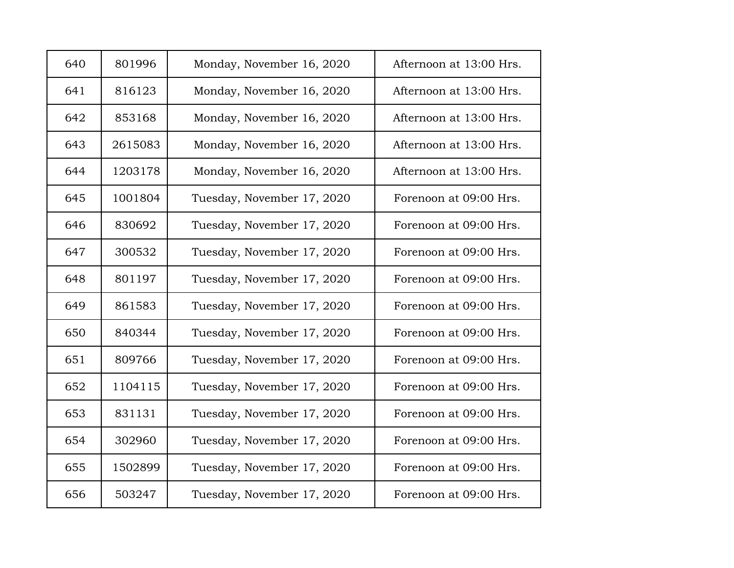| 640 | 801996  | Monday, November 16, 2020  | Afternoon at 13:00 Hrs. |
|-----|---------|----------------------------|-------------------------|
| 641 | 816123  | Monday, November 16, 2020  | Afternoon at 13:00 Hrs. |
| 642 | 853168  | Monday, November 16, 2020  | Afternoon at 13:00 Hrs. |
| 643 | 2615083 | Monday, November 16, 2020  | Afternoon at 13:00 Hrs. |
| 644 | 1203178 | Monday, November 16, 2020  | Afternoon at 13:00 Hrs. |
| 645 | 1001804 | Tuesday, November 17, 2020 | Forenoon at 09:00 Hrs.  |
| 646 | 830692  | Tuesday, November 17, 2020 | Forenoon at 09:00 Hrs.  |
| 647 | 300532  | Tuesday, November 17, 2020 | Forenoon at 09:00 Hrs.  |
| 648 | 801197  | Tuesday, November 17, 2020 | Forenoon at 09:00 Hrs.  |
| 649 | 861583  | Tuesday, November 17, 2020 | Forenoon at 09:00 Hrs.  |
| 650 | 840344  | Tuesday, November 17, 2020 | Forenoon at 09:00 Hrs.  |
| 651 | 809766  | Tuesday, November 17, 2020 | Forenoon at 09:00 Hrs.  |
| 652 | 1104115 | Tuesday, November 17, 2020 | Forenoon at 09:00 Hrs.  |
| 653 | 831131  | Tuesday, November 17, 2020 | Forenoon at 09:00 Hrs.  |
| 654 | 302960  | Tuesday, November 17, 2020 | Forenoon at 09:00 Hrs.  |
| 655 | 1502899 | Tuesday, November 17, 2020 | Forenoon at 09:00 Hrs.  |
| 656 | 503247  | Tuesday, November 17, 2020 | Forenoon at 09:00 Hrs.  |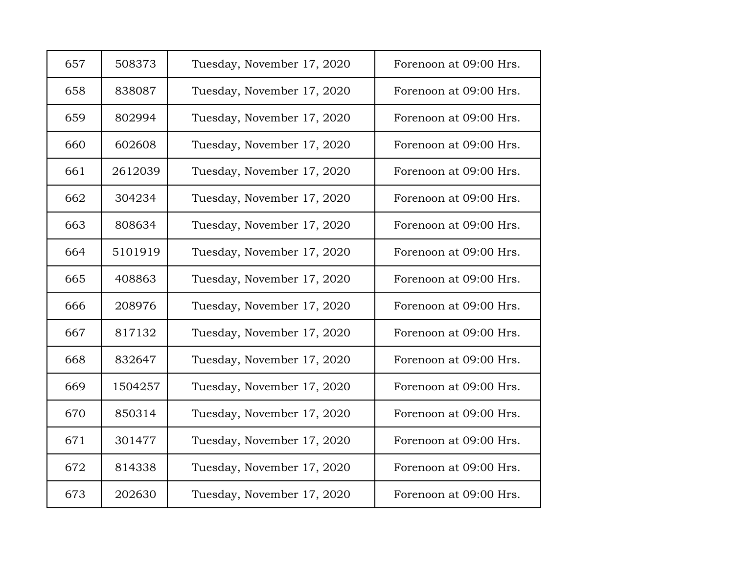| 657 | 508373  | Tuesday, November 17, 2020 | Forenoon at 09:00 Hrs. |
|-----|---------|----------------------------|------------------------|
| 658 | 838087  | Tuesday, November 17, 2020 | Forenoon at 09:00 Hrs. |
| 659 | 802994  | Tuesday, November 17, 2020 | Forenoon at 09:00 Hrs. |
| 660 | 602608  | Tuesday, November 17, 2020 | Forenoon at 09:00 Hrs. |
| 661 | 2612039 | Tuesday, November 17, 2020 | Forenoon at 09:00 Hrs. |
| 662 | 304234  | Tuesday, November 17, 2020 | Forenoon at 09:00 Hrs. |
| 663 | 808634  | Tuesday, November 17, 2020 | Forenoon at 09:00 Hrs. |
| 664 | 5101919 | Tuesday, November 17, 2020 | Forenoon at 09:00 Hrs. |
| 665 | 408863  | Tuesday, November 17, 2020 | Forenoon at 09:00 Hrs. |
| 666 | 208976  | Tuesday, November 17, 2020 | Forenoon at 09:00 Hrs. |
| 667 | 817132  | Tuesday, November 17, 2020 | Forenoon at 09:00 Hrs. |
| 668 | 832647  | Tuesday, November 17, 2020 | Forenoon at 09:00 Hrs. |
| 669 | 1504257 | Tuesday, November 17, 2020 | Forenoon at 09:00 Hrs. |
| 670 | 850314  | Tuesday, November 17, 2020 | Forenoon at 09:00 Hrs. |
| 671 | 301477  | Tuesday, November 17, 2020 | Forenoon at 09:00 Hrs. |
| 672 | 814338  | Tuesday, November 17, 2020 | Forenoon at 09:00 Hrs. |
| 673 | 202630  | Tuesday, November 17, 2020 | Forenoon at 09:00 Hrs. |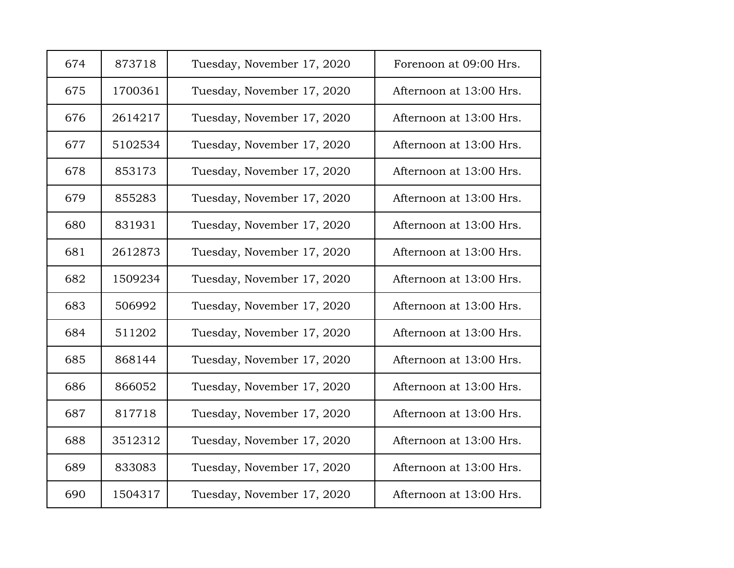| 674 | 873718  | Tuesday, November 17, 2020 | Forenoon at 09:00 Hrs.  |
|-----|---------|----------------------------|-------------------------|
| 675 | 1700361 | Tuesday, November 17, 2020 | Afternoon at 13:00 Hrs. |
| 676 | 2614217 | Tuesday, November 17, 2020 | Afternoon at 13:00 Hrs. |
| 677 | 5102534 | Tuesday, November 17, 2020 | Afternoon at 13:00 Hrs. |
| 678 | 853173  | Tuesday, November 17, 2020 | Afternoon at 13:00 Hrs. |
| 679 | 855283  | Tuesday, November 17, 2020 | Afternoon at 13:00 Hrs. |
| 680 | 831931  | Tuesday, November 17, 2020 | Afternoon at 13:00 Hrs. |
| 681 | 2612873 | Tuesday, November 17, 2020 | Afternoon at 13:00 Hrs. |
| 682 | 1509234 | Tuesday, November 17, 2020 | Afternoon at 13:00 Hrs. |
| 683 | 506992  | Tuesday, November 17, 2020 | Afternoon at 13:00 Hrs. |
| 684 | 511202  | Tuesday, November 17, 2020 | Afternoon at 13:00 Hrs. |
| 685 | 868144  | Tuesday, November 17, 2020 | Afternoon at 13:00 Hrs. |
| 686 | 866052  | Tuesday, November 17, 2020 | Afternoon at 13:00 Hrs. |
| 687 | 817718  | Tuesday, November 17, 2020 | Afternoon at 13:00 Hrs. |
| 688 | 3512312 | Tuesday, November 17, 2020 | Afternoon at 13:00 Hrs. |
| 689 | 833083  | Tuesday, November 17, 2020 | Afternoon at 13:00 Hrs. |
| 690 | 1504317 | Tuesday, November 17, 2020 | Afternoon at 13:00 Hrs. |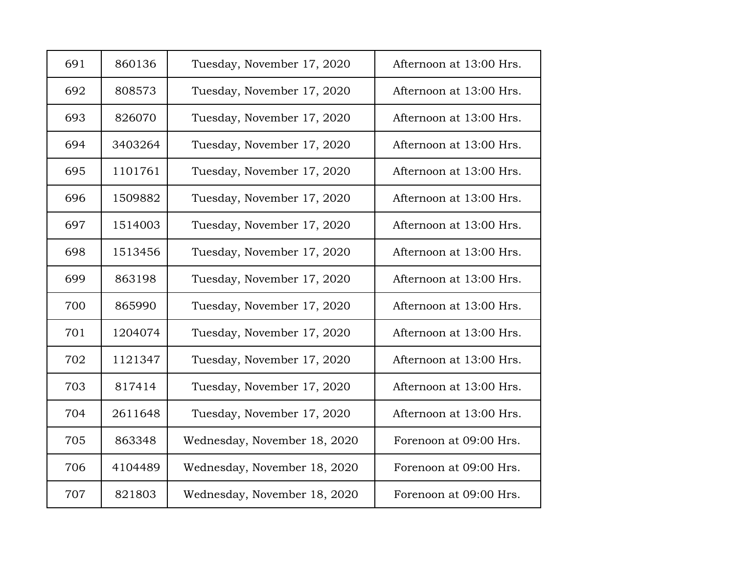| 691 | 860136  | Tuesday, November 17, 2020   | Afternoon at 13:00 Hrs. |
|-----|---------|------------------------------|-------------------------|
| 692 | 808573  | Tuesday, November 17, 2020   | Afternoon at 13:00 Hrs. |
| 693 | 826070  | Tuesday, November 17, 2020   | Afternoon at 13:00 Hrs. |
| 694 | 3403264 | Tuesday, November 17, 2020   | Afternoon at 13:00 Hrs. |
| 695 | 1101761 | Tuesday, November 17, 2020   | Afternoon at 13:00 Hrs. |
| 696 | 1509882 | Tuesday, November 17, 2020   | Afternoon at 13:00 Hrs. |
| 697 | 1514003 | Tuesday, November 17, 2020   | Afternoon at 13:00 Hrs. |
| 698 | 1513456 | Tuesday, November 17, 2020   | Afternoon at 13:00 Hrs. |
| 699 | 863198  | Tuesday, November 17, 2020   | Afternoon at 13:00 Hrs. |
| 700 | 865990  | Tuesday, November 17, 2020   | Afternoon at 13:00 Hrs. |
| 701 | 1204074 | Tuesday, November 17, 2020   | Afternoon at 13:00 Hrs. |
| 702 | 1121347 | Tuesday, November 17, 2020   | Afternoon at 13:00 Hrs. |
| 703 | 817414  | Tuesday, November 17, 2020   | Afternoon at 13:00 Hrs. |
| 704 | 2611648 | Tuesday, November 17, 2020   | Afternoon at 13:00 Hrs. |
| 705 | 863348  | Wednesday, November 18, 2020 | Forenoon at 09:00 Hrs.  |
| 706 | 4104489 | Wednesday, November 18, 2020 | Forenoon at 09:00 Hrs.  |
| 707 | 821803  | Wednesday, November 18, 2020 | Forenoon at 09:00 Hrs.  |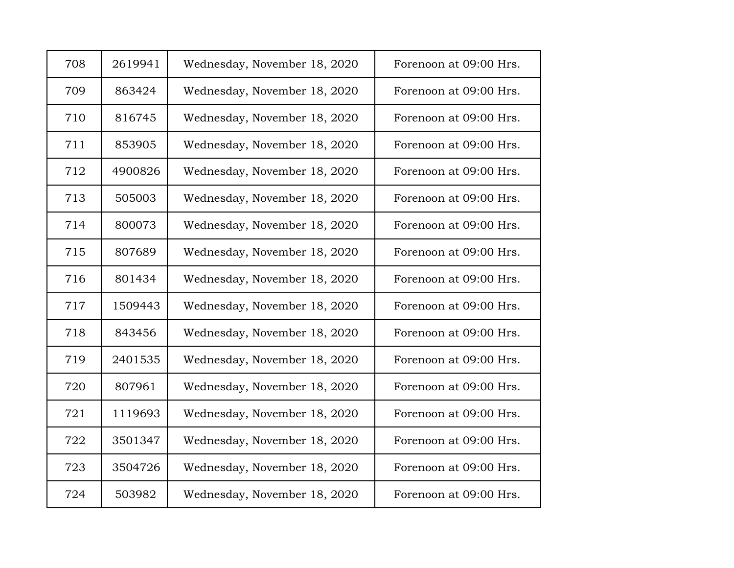| 708 | 2619941 | Wednesday, November 18, 2020 | Forenoon at 09:00 Hrs. |
|-----|---------|------------------------------|------------------------|
| 709 | 863424  | Wednesday, November 18, 2020 | Forenoon at 09:00 Hrs. |
| 710 | 816745  | Wednesday, November 18, 2020 | Forenoon at 09:00 Hrs. |
| 711 | 853905  | Wednesday, November 18, 2020 | Forenoon at 09:00 Hrs. |
| 712 | 4900826 | Wednesday, November 18, 2020 | Forenoon at 09:00 Hrs. |
| 713 | 505003  | Wednesday, November 18, 2020 | Forenoon at 09:00 Hrs. |
| 714 | 800073  | Wednesday, November 18, 2020 | Forenoon at 09:00 Hrs. |
| 715 | 807689  | Wednesday, November 18, 2020 | Forenoon at 09:00 Hrs. |
| 716 | 801434  | Wednesday, November 18, 2020 | Forenoon at 09:00 Hrs. |
| 717 | 1509443 | Wednesday, November 18, 2020 | Forenoon at 09:00 Hrs. |
| 718 | 843456  | Wednesday, November 18, 2020 | Forenoon at 09:00 Hrs. |
| 719 | 2401535 | Wednesday, November 18, 2020 | Forenoon at 09:00 Hrs. |
| 720 | 807961  | Wednesday, November 18, 2020 | Forenoon at 09:00 Hrs. |
| 721 | 1119693 | Wednesday, November 18, 2020 | Forenoon at 09:00 Hrs. |
| 722 | 3501347 | Wednesday, November 18, 2020 | Forenoon at 09:00 Hrs. |
| 723 | 3504726 | Wednesday, November 18, 2020 | Forenoon at 09:00 Hrs. |
| 724 | 503982  | Wednesday, November 18, 2020 | Forenoon at 09:00 Hrs. |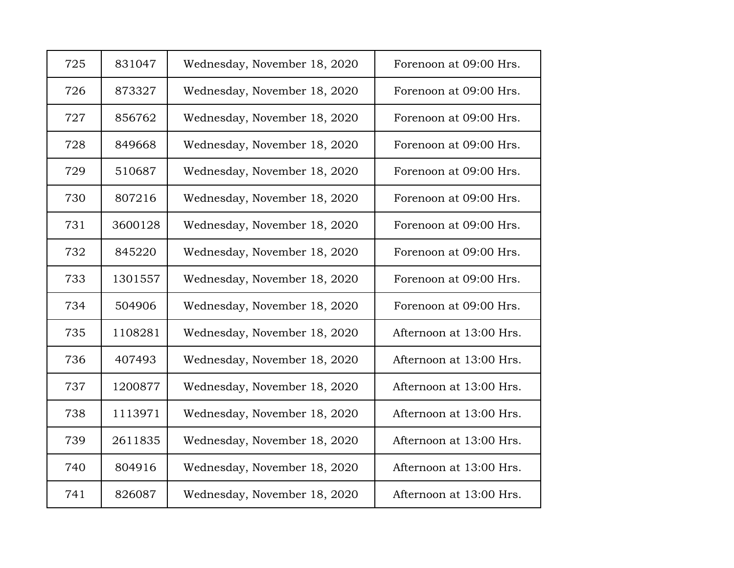| 725 | 831047  | Wednesday, November 18, 2020 | Forenoon at 09:00 Hrs.  |
|-----|---------|------------------------------|-------------------------|
| 726 | 873327  | Wednesday, November 18, 2020 | Forenoon at 09:00 Hrs.  |
| 727 | 856762  | Wednesday, November 18, 2020 | Forenoon at 09:00 Hrs.  |
| 728 | 849668  | Wednesday, November 18, 2020 | Forenoon at 09:00 Hrs.  |
| 729 | 510687  | Wednesday, November 18, 2020 | Forenoon at 09:00 Hrs.  |
| 730 | 807216  | Wednesday, November 18, 2020 | Forenoon at 09:00 Hrs.  |
| 731 | 3600128 | Wednesday, November 18, 2020 | Forenoon at 09:00 Hrs.  |
| 732 | 845220  | Wednesday, November 18, 2020 | Forenoon at 09:00 Hrs.  |
| 733 | 1301557 | Wednesday, November 18, 2020 | Forenoon at 09:00 Hrs.  |
| 734 | 504906  | Wednesday, November 18, 2020 | Forenoon at 09:00 Hrs.  |
| 735 | 1108281 | Wednesday, November 18, 2020 | Afternoon at 13:00 Hrs. |
| 736 | 407493  | Wednesday, November 18, 2020 | Afternoon at 13:00 Hrs. |
| 737 | 1200877 | Wednesday, November 18, 2020 | Afternoon at 13:00 Hrs. |
| 738 | 1113971 | Wednesday, November 18, 2020 | Afternoon at 13:00 Hrs. |
| 739 | 2611835 | Wednesday, November 18, 2020 | Afternoon at 13:00 Hrs. |
| 740 | 804916  | Wednesday, November 18, 2020 | Afternoon at 13:00 Hrs. |
| 741 | 826087  | Wednesday, November 18, 2020 | Afternoon at 13:00 Hrs. |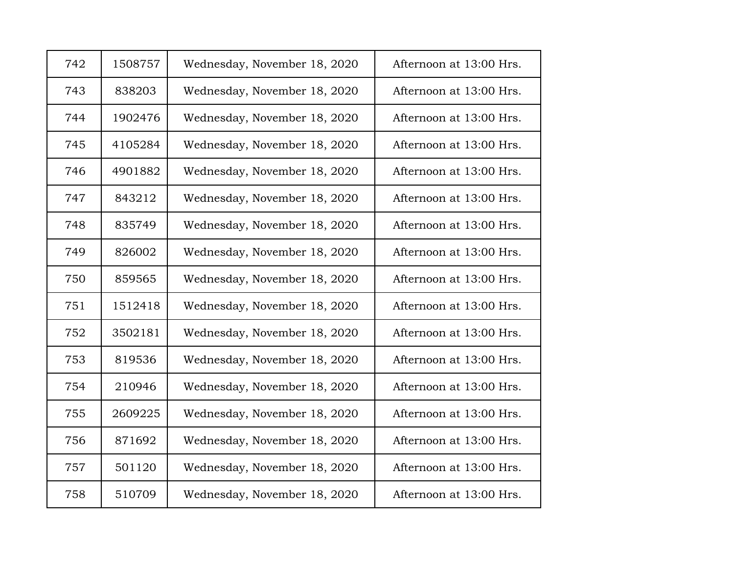| 742 | 1508757 | Wednesday, November 18, 2020 | Afternoon at 13:00 Hrs. |
|-----|---------|------------------------------|-------------------------|
| 743 | 838203  | Wednesday, November 18, 2020 | Afternoon at 13:00 Hrs. |
| 744 | 1902476 | Wednesday, November 18, 2020 | Afternoon at 13:00 Hrs. |
| 745 | 4105284 | Wednesday, November 18, 2020 | Afternoon at 13:00 Hrs. |
| 746 | 4901882 | Wednesday, November 18, 2020 | Afternoon at 13:00 Hrs. |
| 747 | 843212  | Wednesday, November 18, 2020 | Afternoon at 13:00 Hrs. |
| 748 | 835749  | Wednesday, November 18, 2020 | Afternoon at 13:00 Hrs. |
| 749 | 826002  | Wednesday, November 18, 2020 | Afternoon at 13:00 Hrs. |
| 750 | 859565  | Wednesday, November 18, 2020 | Afternoon at 13:00 Hrs. |
| 751 | 1512418 | Wednesday, November 18, 2020 | Afternoon at 13:00 Hrs. |
| 752 | 3502181 | Wednesday, November 18, 2020 | Afternoon at 13:00 Hrs. |
| 753 | 819536  | Wednesday, November 18, 2020 | Afternoon at 13:00 Hrs. |
| 754 | 210946  | Wednesday, November 18, 2020 | Afternoon at 13:00 Hrs. |
| 755 | 2609225 | Wednesday, November 18, 2020 | Afternoon at 13:00 Hrs. |
| 756 | 871692  | Wednesday, November 18, 2020 | Afternoon at 13:00 Hrs. |
| 757 | 501120  | Wednesday, November 18, 2020 | Afternoon at 13:00 Hrs. |
| 758 | 510709  | Wednesday, November 18, 2020 | Afternoon at 13:00 Hrs. |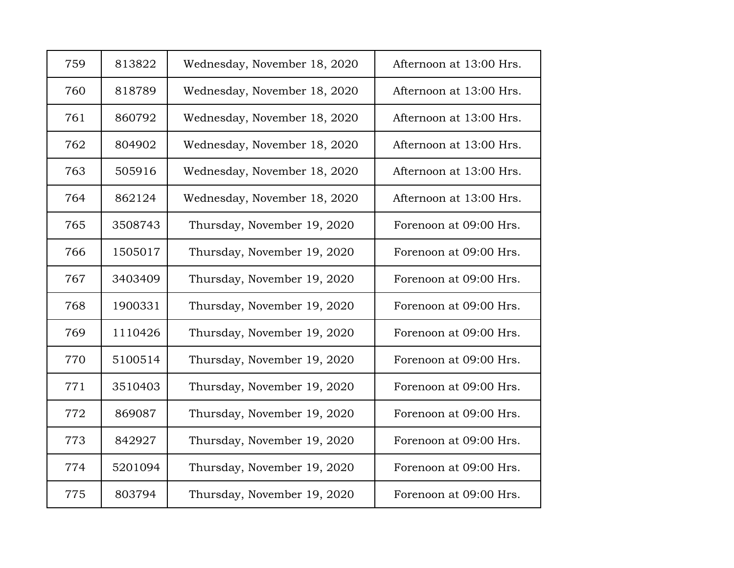| 759 | 813822  | Wednesday, November 18, 2020 | Afternoon at 13:00 Hrs. |
|-----|---------|------------------------------|-------------------------|
| 760 | 818789  | Wednesday, November 18, 2020 | Afternoon at 13:00 Hrs. |
| 761 | 860792  | Wednesday, November 18, 2020 | Afternoon at 13:00 Hrs. |
| 762 | 804902  | Wednesday, November 18, 2020 | Afternoon at 13:00 Hrs. |
| 763 | 505916  | Wednesday, November 18, 2020 | Afternoon at 13:00 Hrs. |
| 764 | 862124  | Wednesday, November 18, 2020 | Afternoon at 13:00 Hrs. |
| 765 | 3508743 | Thursday, November 19, 2020  | Forenoon at 09:00 Hrs.  |
| 766 | 1505017 | Thursday, November 19, 2020  | Forenoon at 09:00 Hrs.  |
| 767 | 3403409 | Thursday, November 19, 2020  | Forenoon at 09:00 Hrs.  |
| 768 | 1900331 | Thursday, November 19, 2020  | Forenoon at 09:00 Hrs.  |
| 769 | 1110426 | Thursday, November 19, 2020  | Forenoon at 09:00 Hrs.  |
| 770 | 5100514 | Thursday, November 19, 2020  | Forenoon at 09:00 Hrs.  |
| 771 | 3510403 | Thursday, November 19, 2020  | Forenoon at 09:00 Hrs.  |
| 772 | 869087  | Thursday, November 19, 2020  | Forenoon at 09:00 Hrs.  |
| 773 | 842927  | Thursday, November 19, 2020  | Forenoon at 09:00 Hrs.  |
| 774 | 5201094 | Thursday, November 19, 2020  | Forenoon at 09:00 Hrs.  |
| 775 | 803794  | Thursday, November 19, 2020  | Forenoon at 09:00 Hrs.  |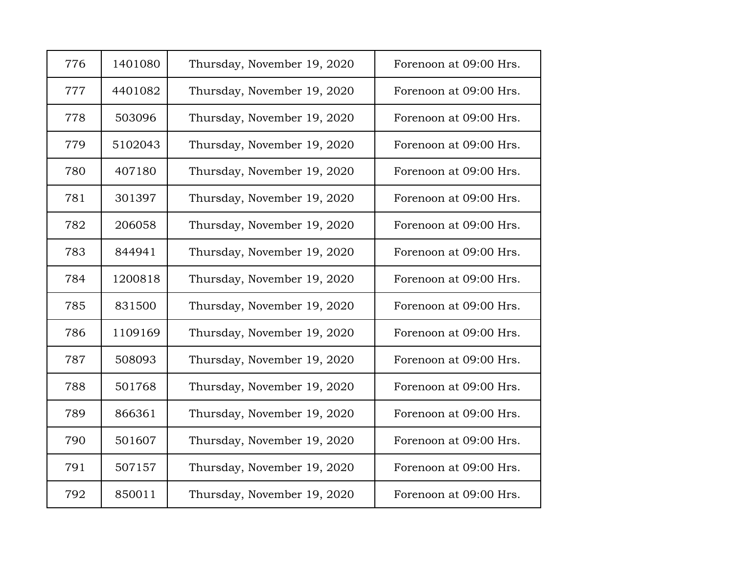| 776 | 1401080 | Thursday, November 19, 2020 | Forenoon at 09:00 Hrs. |
|-----|---------|-----------------------------|------------------------|
| 777 | 4401082 | Thursday, November 19, 2020 | Forenoon at 09:00 Hrs. |
| 778 | 503096  | Thursday, November 19, 2020 | Forenoon at 09:00 Hrs. |
| 779 | 5102043 | Thursday, November 19, 2020 | Forenoon at 09:00 Hrs. |
| 780 | 407180  | Thursday, November 19, 2020 | Forenoon at 09:00 Hrs. |
| 781 | 301397  | Thursday, November 19, 2020 | Forenoon at 09:00 Hrs. |
| 782 | 206058  | Thursday, November 19, 2020 | Forenoon at 09:00 Hrs. |
| 783 | 844941  | Thursday, November 19, 2020 | Forenoon at 09:00 Hrs. |
| 784 | 1200818 | Thursday, November 19, 2020 | Forenoon at 09:00 Hrs. |
| 785 | 831500  | Thursday, November 19, 2020 | Forenoon at 09:00 Hrs. |
| 786 | 1109169 | Thursday, November 19, 2020 | Forenoon at 09:00 Hrs. |
| 787 | 508093  | Thursday, November 19, 2020 | Forenoon at 09:00 Hrs. |
| 788 | 501768  | Thursday, November 19, 2020 | Forenoon at 09:00 Hrs. |
| 789 | 866361  | Thursday, November 19, 2020 | Forenoon at 09:00 Hrs. |
| 790 | 501607  | Thursday, November 19, 2020 | Forenoon at 09:00 Hrs. |
| 791 | 507157  | Thursday, November 19, 2020 | Forenoon at 09:00 Hrs. |
| 792 | 850011  | Thursday, November 19, 2020 | Forenoon at 09:00 Hrs. |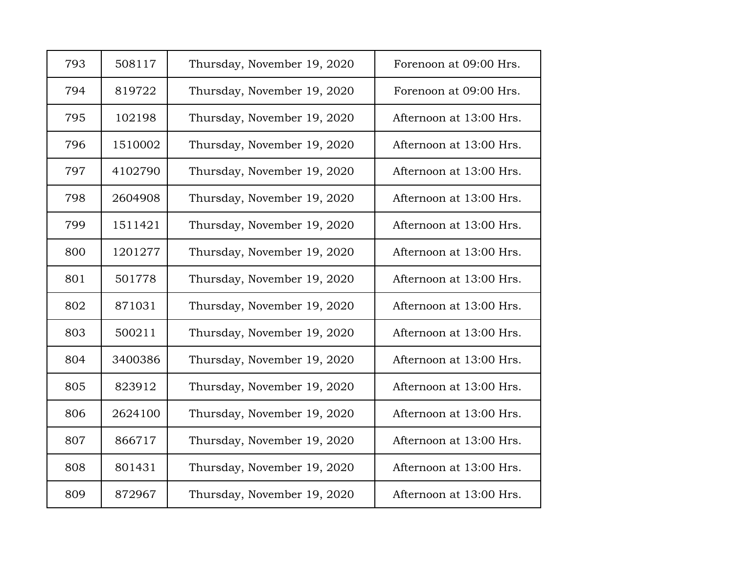| 793 | 508117  | Thursday, November 19, 2020 | Forenoon at 09:00 Hrs.  |
|-----|---------|-----------------------------|-------------------------|
| 794 | 819722  | Thursday, November 19, 2020 | Forenoon at 09:00 Hrs.  |
| 795 | 102198  | Thursday, November 19, 2020 | Afternoon at 13:00 Hrs. |
| 796 | 1510002 | Thursday, November 19, 2020 | Afternoon at 13:00 Hrs. |
| 797 | 4102790 | Thursday, November 19, 2020 | Afternoon at 13:00 Hrs. |
| 798 | 2604908 | Thursday, November 19, 2020 | Afternoon at 13:00 Hrs. |
| 799 | 1511421 | Thursday, November 19, 2020 | Afternoon at 13:00 Hrs. |
| 800 | 1201277 | Thursday, November 19, 2020 | Afternoon at 13:00 Hrs. |
| 801 | 501778  | Thursday, November 19, 2020 | Afternoon at 13:00 Hrs. |
| 802 | 871031  | Thursday, November 19, 2020 | Afternoon at 13:00 Hrs. |
| 803 | 500211  | Thursday, November 19, 2020 | Afternoon at 13:00 Hrs. |
| 804 | 3400386 | Thursday, November 19, 2020 | Afternoon at 13:00 Hrs. |
| 805 | 823912  | Thursday, November 19, 2020 | Afternoon at 13:00 Hrs. |
| 806 | 2624100 | Thursday, November 19, 2020 | Afternoon at 13:00 Hrs. |
| 807 | 866717  | Thursday, November 19, 2020 | Afternoon at 13:00 Hrs. |
| 808 | 801431  | Thursday, November 19, 2020 | Afternoon at 13:00 Hrs. |
| 809 | 872967  | Thursday, November 19, 2020 | Afternoon at 13:00 Hrs. |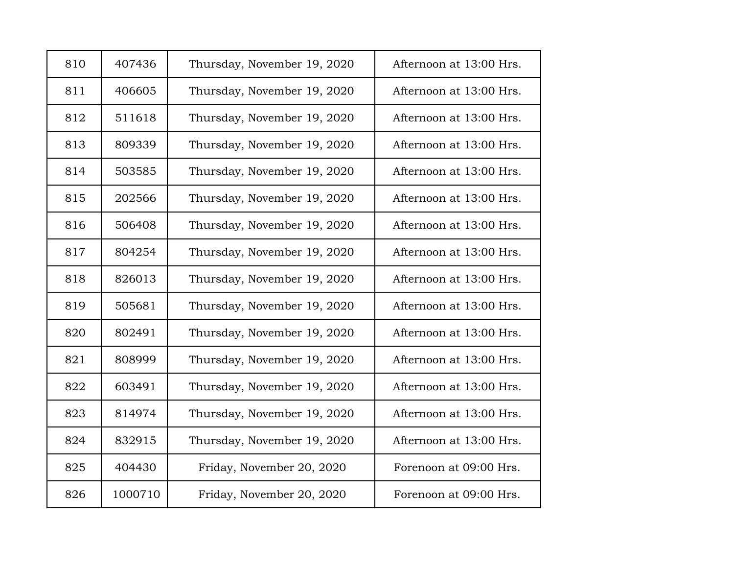| 810 | 407436  | Thursday, November 19, 2020 | Afternoon at 13:00 Hrs. |
|-----|---------|-----------------------------|-------------------------|
| 811 | 406605  | Thursday, November 19, 2020 | Afternoon at 13:00 Hrs. |
| 812 | 511618  | Thursday, November 19, 2020 | Afternoon at 13:00 Hrs. |
| 813 | 809339  | Thursday, November 19, 2020 | Afternoon at 13:00 Hrs. |
| 814 | 503585  | Thursday, November 19, 2020 | Afternoon at 13:00 Hrs. |
| 815 | 202566  | Thursday, November 19, 2020 | Afternoon at 13:00 Hrs. |
| 816 | 506408  | Thursday, November 19, 2020 | Afternoon at 13:00 Hrs. |
| 817 | 804254  | Thursday, November 19, 2020 | Afternoon at 13:00 Hrs. |
| 818 | 826013  | Thursday, November 19, 2020 | Afternoon at 13:00 Hrs. |
| 819 | 505681  | Thursday, November 19, 2020 | Afternoon at 13:00 Hrs. |
| 820 | 802491  | Thursday, November 19, 2020 | Afternoon at 13:00 Hrs. |
| 821 | 808999  | Thursday, November 19, 2020 | Afternoon at 13:00 Hrs. |
| 822 | 603491  | Thursday, November 19, 2020 | Afternoon at 13:00 Hrs. |
| 823 | 814974  | Thursday, November 19, 2020 | Afternoon at 13:00 Hrs. |
| 824 | 832915  | Thursday, November 19, 2020 | Afternoon at 13:00 Hrs. |
| 825 | 404430  | Friday, November 20, 2020   | Forenoon at 09:00 Hrs.  |
| 826 | 1000710 | Friday, November 20, 2020   | Forenoon at 09:00 Hrs.  |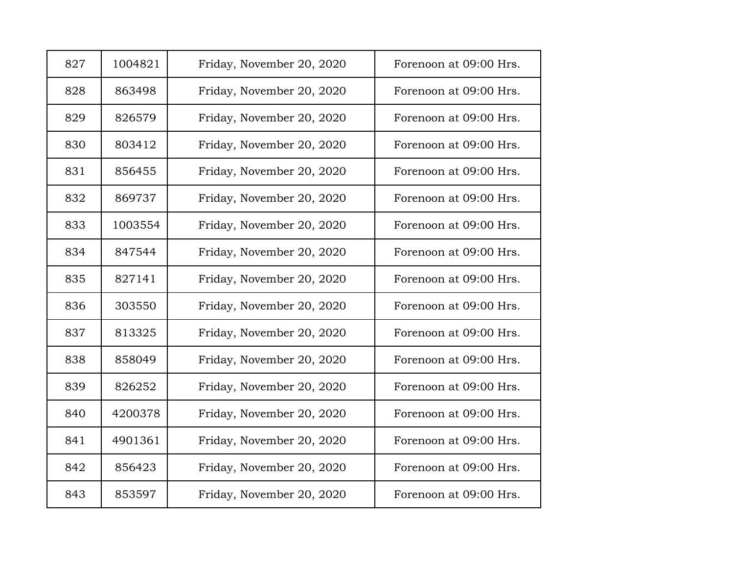| 827 | 1004821 | Friday, November 20, 2020 | Forenoon at 09:00 Hrs. |
|-----|---------|---------------------------|------------------------|
| 828 | 863498  | Friday, November 20, 2020 | Forenoon at 09:00 Hrs. |
| 829 | 826579  | Friday, November 20, 2020 | Forenoon at 09:00 Hrs. |
| 830 | 803412  | Friday, November 20, 2020 | Forenoon at 09:00 Hrs. |
| 831 | 856455  | Friday, November 20, 2020 | Forenoon at 09:00 Hrs. |
| 832 | 869737  | Friday, November 20, 2020 | Forenoon at 09:00 Hrs. |
| 833 | 1003554 | Friday, November 20, 2020 | Forenoon at 09:00 Hrs. |
| 834 | 847544  | Friday, November 20, 2020 | Forenoon at 09:00 Hrs. |
| 835 | 827141  | Friday, November 20, 2020 | Forenoon at 09:00 Hrs. |
| 836 | 303550  | Friday, November 20, 2020 | Forenoon at 09:00 Hrs. |
| 837 | 813325  | Friday, November 20, 2020 | Forenoon at 09:00 Hrs. |
| 838 | 858049  | Friday, November 20, 2020 | Forenoon at 09:00 Hrs. |
| 839 | 826252  | Friday, November 20, 2020 | Forenoon at 09:00 Hrs. |
| 840 | 4200378 | Friday, November 20, 2020 | Forenoon at 09:00 Hrs. |
| 841 | 4901361 | Friday, November 20, 2020 | Forenoon at 09:00 Hrs. |
| 842 | 856423  | Friday, November 20, 2020 | Forenoon at 09:00 Hrs. |
| 843 | 853597  | Friday, November 20, 2020 | Forenoon at 09:00 Hrs. |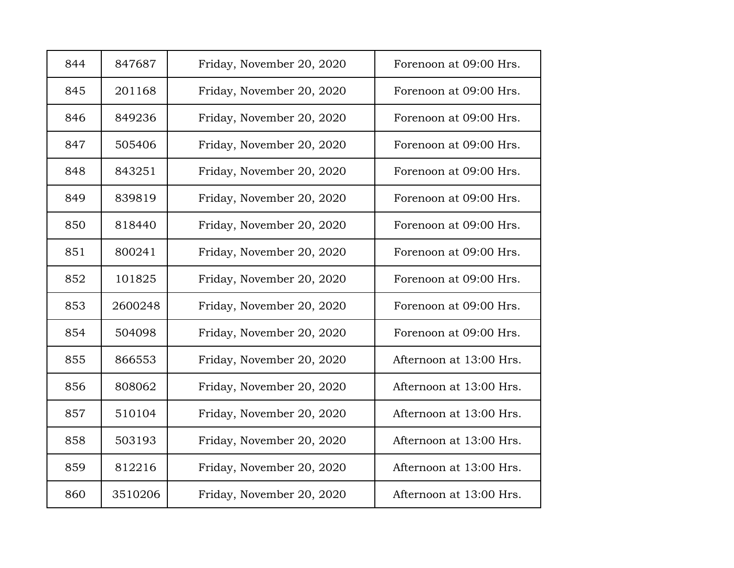| 844 | 847687  | Friday, November 20, 2020 | Forenoon at 09:00 Hrs.  |
|-----|---------|---------------------------|-------------------------|
| 845 | 201168  | Friday, November 20, 2020 | Forenoon at 09:00 Hrs.  |
| 846 | 849236  | Friday, November 20, 2020 | Forenoon at 09:00 Hrs.  |
| 847 | 505406  | Friday, November 20, 2020 | Forenoon at 09:00 Hrs.  |
| 848 | 843251  | Friday, November 20, 2020 | Forenoon at 09:00 Hrs.  |
| 849 | 839819  | Friday, November 20, 2020 | Forenoon at 09:00 Hrs.  |
| 850 | 818440  | Friday, November 20, 2020 | Forenoon at 09:00 Hrs.  |
| 851 | 800241  | Friday, November 20, 2020 | Forenoon at 09:00 Hrs.  |
| 852 | 101825  | Friday, November 20, 2020 | Forenoon at 09:00 Hrs.  |
| 853 | 2600248 | Friday, November 20, 2020 | Forenoon at 09:00 Hrs.  |
| 854 | 504098  | Friday, November 20, 2020 | Forenoon at 09:00 Hrs.  |
| 855 | 866553  | Friday, November 20, 2020 | Afternoon at 13:00 Hrs. |
| 856 | 808062  | Friday, November 20, 2020 | Afternoon at 13:00 Hrs. |
| 857 | 510104  | Friday, November 20, 2020 | Afternoon at 13:00 Hrs. |
| 858 | 503193  | Friday, November 20, 2020 | Afternoon at 13:00 Hrs. |
| 859 | 812216  | Friday, November 20, 2020 | Afternoon at 13:00 Hrs. |
| 860 | 3510206 | Friday, November 20, 2020 | Afternoon at 13:00 Hrs. |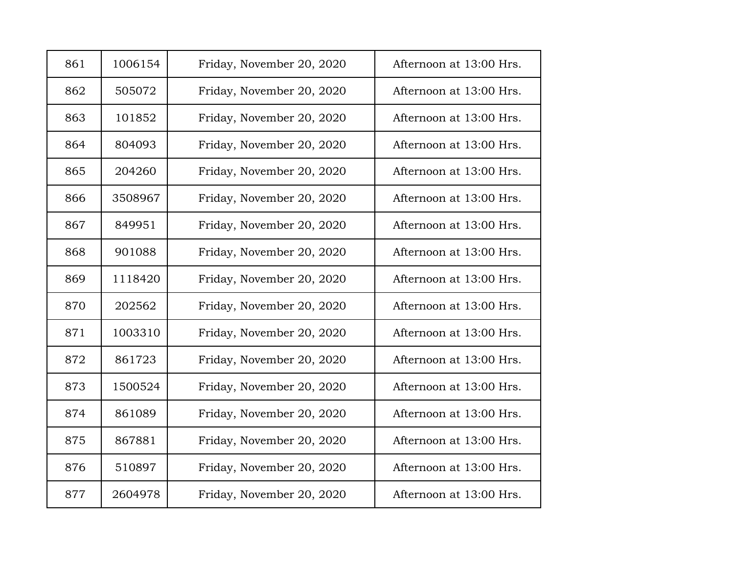| 861 | 1006154 | Friday, November 20, 2020 | Afternoon at 13:00 Hrs. |
|-----|---------|---------------------------|-------------------------|
| 862 | 505072  | Friday, November 20, 2020 | Afternoon at 13:00 Hrs. |
| 863 | 101852  | Friday, November 20, 2020 | Afternoon at 13:00 Hrs. |
| 864 | 804093  | Friday, November 20, 2020 | Afternoon at 13:00 Hrs. |
| 865 | 204260  | Friday, November 20, 2020 | Afternoon at 13:00 Hrs. |
| 866 | 3508967 | Friday, November 20, 2020 | Afternoon at 13:00 Hrs. |
| 867 | 849951  | Friday, November 20, 2020 | Afternoon at 13:00 Hrs. |
| 868 | 901088  | Friday, November 20, 2020 | Afternoon at 13:00 Hrs. |
| 869 | 1118420 | Friday, November 20, 2020 | Afternoon at 13:00 Hrs. |
| 870 | 202562  | Friday, November 20, 2020 | Afternoon at 13:00 Hrs. |
| 871 | 1003310 | Friday, November 20, 2020 | Afternoon at 13:00 Hrs. |
| 872 | 861723  | Friday, November 20, 2020 | Afternoon at 13:00 Hrs. |
| 873 | 1500524 | Friday, November 20, 2020 | Afternoon at 13:00 Hrs. |
| 874 | 861089  | Friday, November 20, 2020 | Afternoon at 13:00 Hrs. |
| 875 | 867881  | Friday, November 20, 2020 | Afternoon at 13:00 Hrs. |
| 876 | 510897  | Friday, November 20, 2020 | Afternoon at 13:00 Hrs. |
| 877 | 2604978 | Friday, November 20, 2020 | Afternoon at 13:00 Hrs. |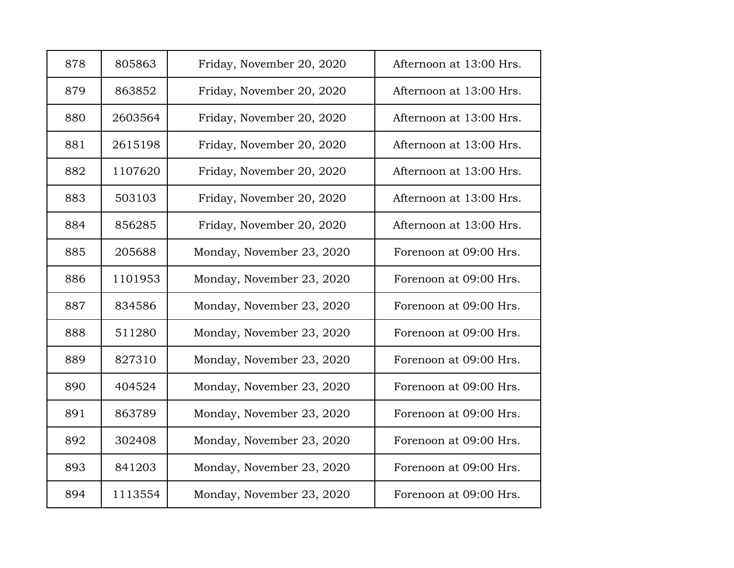| 878 | 805863  | Friday, November 20, 2020 | Afternoon at 13:00 Hrs. |
|-----|---------|---------------------------|-------------------------|
| 879 | 863852  | Friday, November 20, 2020 | Afternoon at 13:00 Hrs. |
| 880 | 2603564 | Friday, November 20, 2020 | Afternoon at 13:00 Hrs. |
| 881 | 2615198 | Friday, November 20, 2020 | Afternoon at 13:00 Hrs. |
| 882 | 1107620 | Friday, November 20, 2020 | Afternoon at 13:00 Hrs. |
| 883 | 503103  | Friday, November 20, 2020 | Afternoon at 13:00 Hrs. |
| 884 | 856285  | Friday, November 20, 2020 | Afternoon at 13:00 Hrs. |
| 885 | 205688  | Monday, November 23, 2020 | Forenoon at 09:00 Hrs.  |
| 886 | 1101953 | Monday, November 23, 2020 | Forenoon at 09:00 Hrs.  |
| 887 | 834586  | Monday, November 23, 2020 | Forenoon at 09:00 Hrs.  |
| 888 | 511280  | Monday, November 23, 2020 | Forenoon at 09:00 Hrs.  |
| 889 | 827310  | Monday, November 23, 2020 | Forenoon at 09:00 Hrs.  |
| 890 | 404524  | Monday, November 23, 2020 | Forenoon at 09:00 Hrs.  |
| 891 | 863789  | Monday, November 23, 2020 | Forenoon at 09:00 Hrs.  |
| 892 | 302408  | Monday, November 23, 2020 | Forenoon at 09:00 Hrs.  |
| 893 | 841203  | Monday, November 23, 2020 | Forenoon at 09:00 Hrs.  |
| 894 | 1113554 | Monday, November 23, 2020 | Forenoon at 09:00 Hrs.  |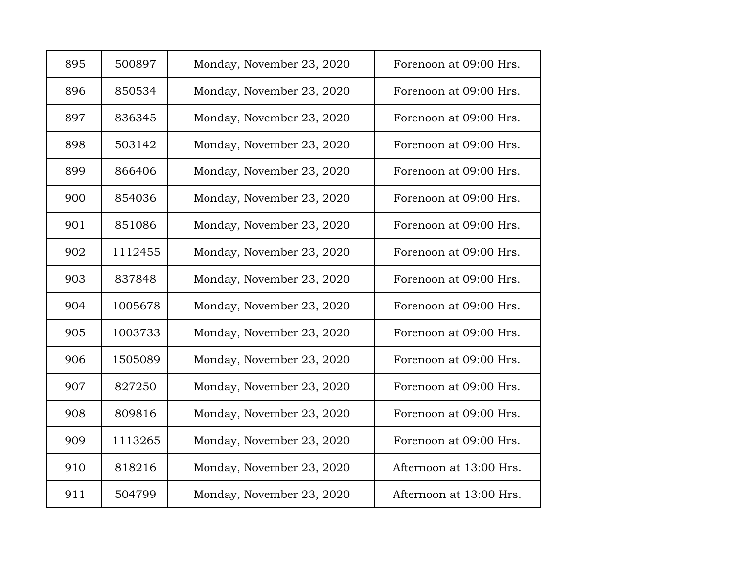| 895 | 500897  | Monday, November 23, 2020 | Forenoon at 09:00 Hrs.  |
|-----|---------|---------------------------|-------------------------|
| 896 | 850534  | Monday, November 23, 2020 | Forenoon at 09:00 Hrs.  |
| 897 | 836345  | Monday, November 23, 2020 | Forenoon at 09:00 Hrs.  |
| 898 | 503142  | Monday, November 23, 2020 | Forenoon at 09:00 Hrs.  |
| 899 | 866406  | Monday, November 23, 2020 | Forenoon at 09:00 Hrs.  |
| 900 | 854036  | Monday, November 23, 2020 | Forenoon at 09:00 Hrs.  |
| 901 | 851086  | Monday, November 23, 2020 | Forenoon at 09:00 Hrs.  |
| 902 | 1112455 | Monday, November 23, 2020 | Forenoon at 09:00 Hrs.  |
| 903 | 837848  | Monday, November 23, 2020 | Forenoon at 09:00 Hrs.  |
| 904 | 1005678 | Monday, November 23, 2020 | Forenoon at 09:00 Hrs.  |
| 905 | 1003733 | Monday, November 23, 2020 | Forenoon at 09:00 Hrs.  |
| 906 | 1505089 | Monday, November 23, 2020 | Forenoon at 09:00 Hrs.  |
| 907 | 827250  | Monday, November 23, 2020 | Forenoon at 09:00 Hrs.  |
| 908 | 809816  | Monday, November 23, 2020 | Forenoon at 09:00 Hrs.  |
| 909 | 1113265 | Monday, November 23, 2020 | Forenoon at 09:00 Hrs.  |
| 910 | 818216  | Monday, November 23, 2020 | Afternoon at 13:00 Hrs. |
| 911 | 504799  | Monday, November 23, 2020 | Afternoon at 13:00 Hrs. |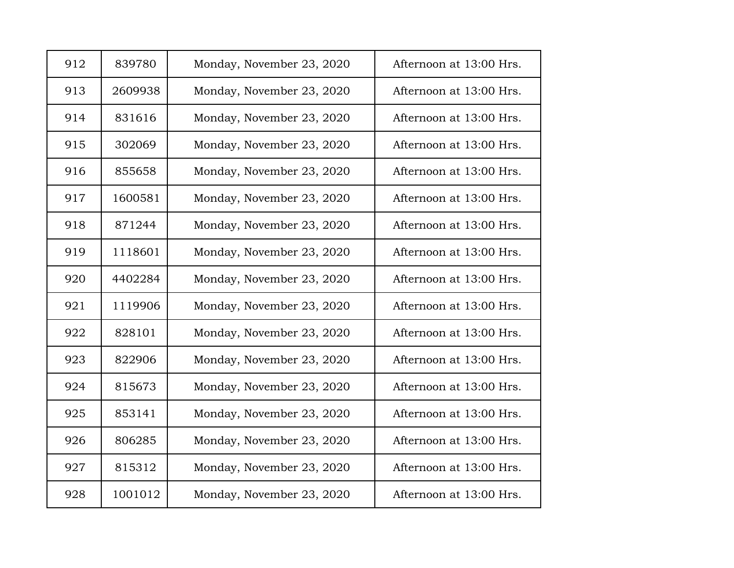| 912 | 839780  | Monday, November 23, 2020 | Afternoon at 13:00 Hrs. |
|-----|---------|---------------------------|-------------------------|
| 913 | 2609938 | Monday, November 23, 2020 | Afternoon at 13:00 Hrs. |
| 914 | 831616  | Monday, November 23, 2020 | Afternoon at 13:00 Hrs. |
| 915 | 302069  | Monday, November 23, 2020 | Afternoon at 13:00 Hrs. |
| 916 | 855658  | Monday, November 23, 2020 | Afternoon at 13:00 Hrs. |
| 917 | 1600581 | Monday, November 23, 2020 | Afternoon at 13:00 Hrs. |
| 918 | 871244  | Monday, November 23, 2020 | Afternoon at 13:00 Hrs. |
| 919 | 1118601 | Monday, November 23, 2020 | Afternoon at 13:00 Hrs. |
| 920 | 4402284 | Monday, November 23, 2020 | Afternoon at 13:00 Hrs. |
| 921 | 1119906 | Monday, November 23, 2020 | Afternoon at 13:00 Hrs. |
| 922 | 828101  | Monday, November 23, 2020 | Afternoon at 13:00 Hrs. |
| 923 | 822906  | Monday, November 23, 2020 | Afternoon at 13:00 Hrs. |
| 924 | 815673  | Monday, November 23, 2020 | Afternoon at 13:00 Hrs. |
| 925 | 853141  | Monday, November 23, 2020 | Afternoon at 13:00 Hrs. |
| 926 | 806285  | Monday, November 23, 2020 | Afternoon at 13:00 Hrs. |
| 927 | 815312  | Monday, November 23, 2020 | Afternoon at 13:00 Hrs. |
| 928 | 1001012 | Monday, November 23, 2020 | Afternoon at 13:00 Hrs. |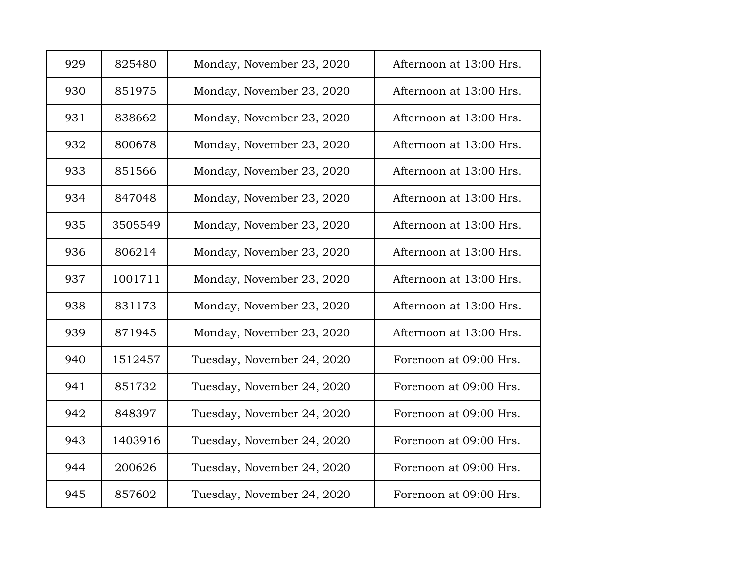| 929 | 825480  | Monday, November 23, 2020  | Afternoon at 13:00 Hrs. |
|-----|---------|----------------------------|-------------------------|
| 930 | 851975  | Monday, November 23, 2020  | Afternoon at 13:00 Hrs. |
| 931 | 838662  | Monday, November 23, 2020  | Afternoon at 13:00 Hrs. |
| 932 | 800678  | Monday, November 23, 2020  | Afternoon at 13:00 Hrs. |
| 933 | 851566  | Monday, November 23, 2020  | Afternoon at 13:00 Hrs. |
| 934 | 847048  | Monday, November 23, 2020  | Afternoon at 13:00 Hrs. |
| 935 | 3505549 | Monday, November 23, 2020  | Afternoon at 13:00 Hrs. |
| 936 | 806214  | Monday, November 23, 2020  | Afternoon at 13:00 Hrs. |
| 937 | 1001711 | Monday, November 23, 2020  | Afternoon at 13:00 Hrs. |
| 938 | 831173  | Monday, November 23, 2020  | Afternoon at 13:00 Hrs. |
| 939 | 871945  | Monday, November 23, 2020  | Afternoon at 13:00 Hrs. |
| 940 | 1512457 | Tuesday, November 24, 2020 | Forenoon at 09:00 Hrs.  |
| 941 | 851732  | Tuesday, November 24, 2020 | Forenoon at 09:00 Hrs.  |
| 942 | 848397  | Tuesday, November 24, 2020 | Forenoon at 09:00 Hrs.  |
| 943 | 1403916 | Tuesday, November 24, 2020 | Forenoon at 09:00 Hrs.  |
| 944 | 200626  | Tuesday, November 24, 2020 | Forenoon at 09:00 Hrs.  |
| 945 | 857602  | Tuesday, November 24, 2020 | Forenoon at 09:00 Hrs.  |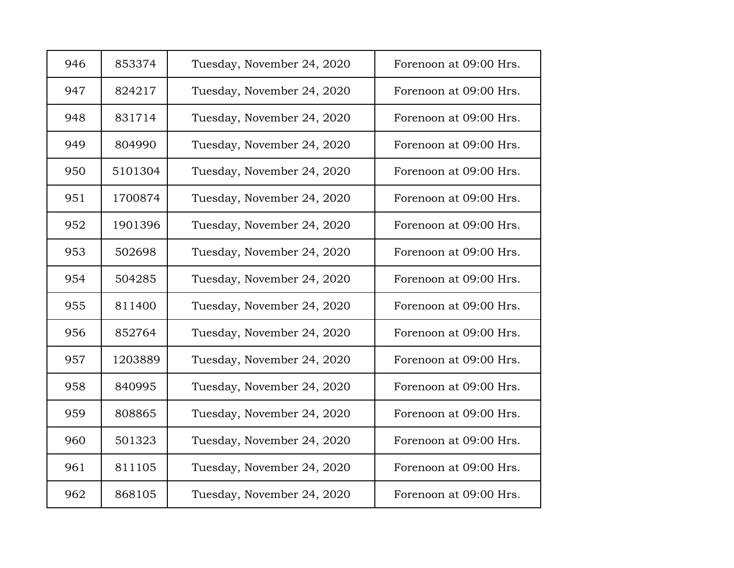| 946 | 853374  | Tuesday, November 24, 2020 | Forenoon at 09:00 Hrs. |
|-----|---------|----------------------------|------------------------|
| 947 | 824217  | Tuesday, November 24, 2020 | Forenoon at 09:00 Hrs. |
| 948 | 831714  | Tuesday, November 24, 2020 | Forenoon at 09:00 Hrs. |
| 949 | 804990  | Tuesday, November 24, 2020 | Forenoon at 09:00 Hrs. |
| 950 | 5101304 | Tuesday, November 24, 2020 | Forenoon at 09:00 Hrs. |
| 951 | 1700874 | Tuesday, November 24, 2020 | Forenoon at 09:00 Hrs. |
| 952 | 1901396 | Tuesday, November 24, 2020 | Forenoon at 09:00 Hrs. |
| 953 | 502698  | Tuesday, November 24, 2020 | Forenoon at 09:00 Hrs. |
| 954 | 504285  | Tuesday, November 24, 2020 | Forenoon at 09:00 Hrs. |
| 955 | 811400  | Tuesday, November 24, 2020 | Forenoon at 09:00 Hrs. |
| 956 | 852764  | Tuesday, November 24, 2020 | Forenoon at 09:00 Hrs. |
| 957 | 1203889 | Tuesday, November 24, 2020 | Forenoon at 09:00 Hrs. |
| 958 | 840995  | Tuesday, November 24, 2020 | Forenoon at 09:00 Hrs. |
| 959 | 808865  | Tuesday, November 24, 2020 | Forenoon at 09:00 Hrs. |
| 960 | 501323  | Tuesday, November 24, 2020 | Forenoon at 09:00 Hrs. |
| 961 | 811105  | Tuesday, November 24, 2020 | Forenoon at 09:00 Hrs. |
| 962 | 868105  | Tuesday, November 24, 2020 | Forenoon at 09:00 Hrs. |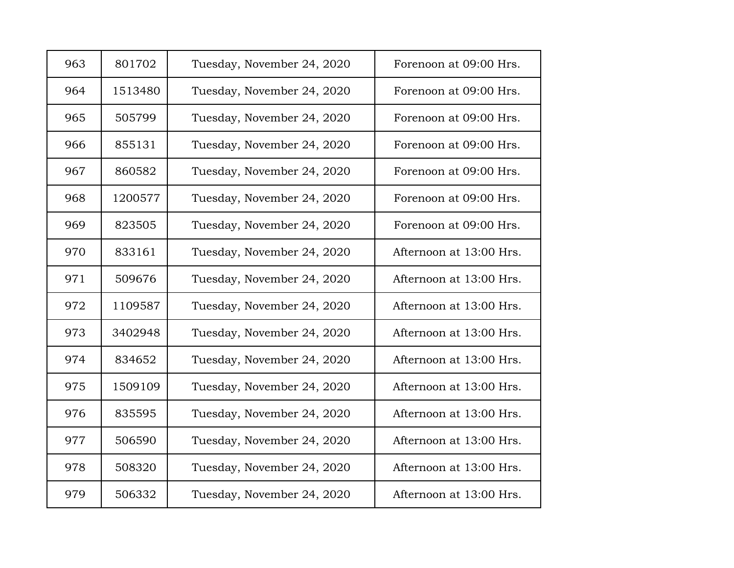| 963 | 801702  | Tuesday, November 24, 2020 | Forenoon at 09:00 Hrs.  |
|-----|---------|----------------------------|-------------------------|
| 964 | 1513480 | Tuesday, November 24, 2020 | Forenoon at 09:00 Hrs.  |
| 965 | 505799  | Tuesday, November 24, 2020 | Forenoon at 09:00 Hrs.  |
| 966 | 855131  | Tuesday, November 24, 2020 | Forenoon at 09:00 Hrs.  |
| 967 | 860582  | Tuesday, November 24, 2020 | Forenoon at 09:00 Hrs.  |
| 968 | 1200577 | Tuesday, November 24, 2020 | Forenoon at 09:00 Hrs.  |
| 969 | 823505  | Tuesday, November 24, 2020 | Forenoon at 09:00 Hrs.  |
| 970 | 833161  | Tuesday, November 24, 2020 | Afternoon at 13:00 Hrs. |
| 971 | 509676  | Tuesday, November 24, 2020 | Afternoon at 13:00 Hrs. |
| 972 | 1109587 | Tuesday, November 24, 2020 | Afternoon at 13:00 Hrs. |
| 973 | 3402948 | Tuesday, November 24, 2020 | Afternoon at 13:00 Hrs. |
| 974 | 834652  | Tuesday, November 24, 2020 | Afternoon at 13:00 Hrs. |
| 975 | 1509109 | Tuesday, November 24, 2020 | Afternoon at 13:00 Hrs. |
| 976 | 835595  | Tuesday, November 24, 2020 | Afternoon at 13:00 Hrs. |
| 977 | 506590  | Tuesday, November 24, 2020 | Afternoon at 13:00 Hrs. |
| 978 | 508320  | Tuesday, November 24, 2020 | Afternoon at 13:00 Hrs. |
| 979 | 506332  | Tuesday, November 24, 2020 | Afternoon at 13:00 Hrs. |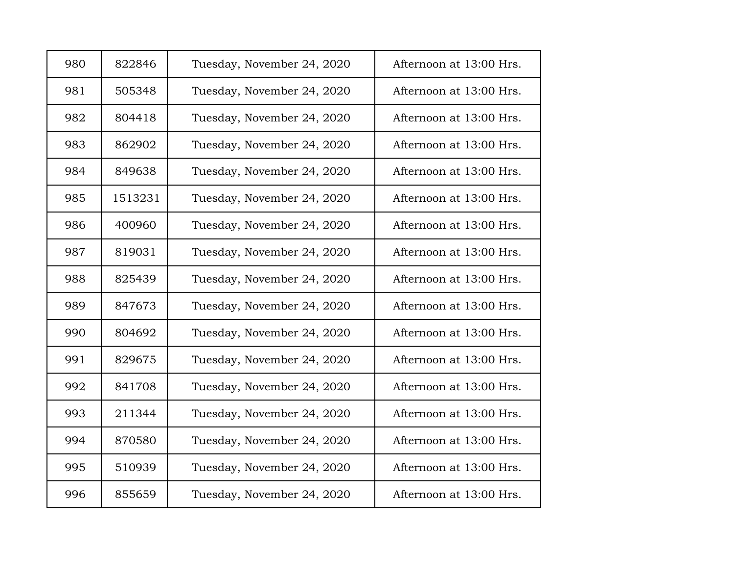| 980 | 822846  | Tuesday, November 24, 2020 | Afternoon at 13:00 Hrs. |
|-----|---------|----------------------------|-------------------------|
| 981 | 505348  | Tuesday, November 24, 2020 | Afternoon at 13:00 Hrs. |
| 982 | 804418  | Tuesday, November 24, 2020 | Afternoon at 13:00 Hrs. |
| 983 | 862902  | Tuesday, November 24, 2020 | Afternoon at 13:00 Hrs. |
| 984 | 849638  | Tuesday, November 24, 2020 | Afternoon at 13:00 Hrs. |
| 985 | 1513231 | Tuesday, November 24, 2020 | Afternoon at 13:00 Hrs. |
| 986 | 400960  | Tuesday, November 24, 2020 | Afternoon at 13:00 Hrs. |
| 987 | 819031  | Tuesday, November 24, 2020 | Afternoon at 13:00 Hrs. |
| 988 | 825439  | Tuesday, November 24, 2020 | Afternoon at 13:00 Hrs. |
| 989 | 847673  | Tuesday, November 24, 2020 | Afternoon at 13:00 Hrs. |
| 990 | 804692  | Tuesday, November 24, 2020 | Afternoon at 13:00 Hrs. |
| 991 | 829675  | Tuesday, November 24, 2020 | Afternoon at 13:00 Hrs. |
| 992 | 841708  | Tuesday, November 24, 2020 | Afternoon at 13:00 Hrs. |
| 993 | 211344  | Tuesday, November 24, 2020 | Afternoon at 13:00 Hrs. |
| 994 | 870580  | Tuesday, November 24, 2020 | Afternoon at 13:00 Hrs. |
| 995 | 510939  | Tuesday, November 24, 2020 | Afternoon at 13:00 Hrs. |
| 996 | 855659  | Tuesday, November 24, 2020 | Afternoon at 13:00 Hrs. |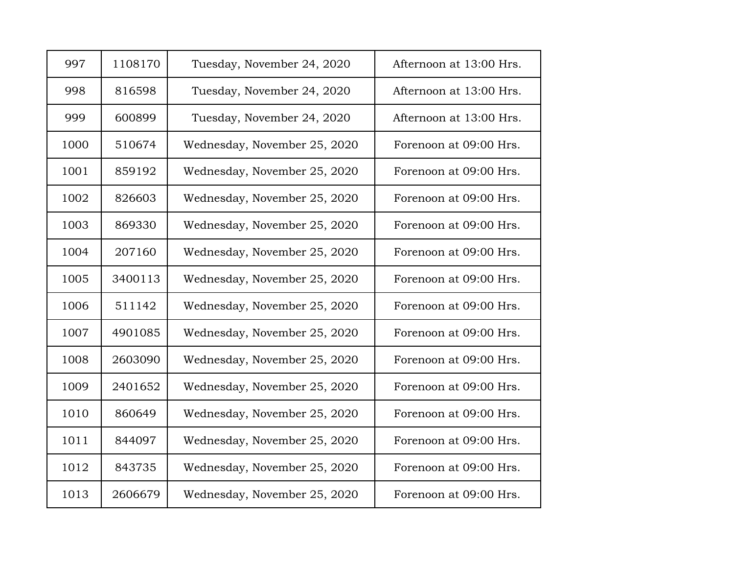| 997  | 1108170 | Tuesday, November 24, 2020   | Afternoon at 13:00 Hrs. |
|------|---------|------------------------------|-------------------------|
| 998  | 816598  | Tuesday, November 24, 2020   | Afternoon at 13:00 Hrs. |
| 999  | 600899  | Tuesday, November 24, 2020   | Afternoon at 13:00 Hrs. |
| 1000 | 510674  | Wednesday, November 25, 2020 | Forenoon at 09:00 Hrs.  |
| 1001 | 859192  | Wednesday, November 25, 2020 | Forenoon at 09:00 Hrs.  |
| 1002 | 826603  | Wednesday, November 25, 2020 | Forenoon at 09:00 Hrs.  |
| 1003 | 869330  | Wednesday, November 25, 2020 | Forenoon at 09:00 Hrs.  |
| 1004 | 207160  | Wednesday, November 25, 2020 | Forenoon at 09:00 Hrs.  |
| 1005 | 3400113 | Wednesday, November 25, 2020 | Forenoon at 09:00 Hrs.  |
| 1006 | 511142  | Wednesday, November 25, 2020 | Forenoon at 09:00 Hrs.  |
| 1007 | 4901085 | Wednesday, November 25, 2020 | Forenoon at 09:00 Hrs.  |
| 1008 | 2603090 | Wednesday, November 25, 2020 | Forenoon at 09:00 Hrs.  |
| 1009 | 2401652 | Wednesday, November 25, 2020 | Forenoon at 09:00 Hrs.  |
| 1010 | 860649  | Wednesday, November 25, 2020 | Forenoon at 09:00 Hrs.  |
| 1011 | 844097  | Wednesday, November 25, 2020 | Forenoon at 09:00 Hrs.  |
| 1012 | 843735  | Wednesday, November 25, 2020 | Forenoon at 09:00 Hrs.  |
| 1013 | 2606679 | Wednesday, November 25, 2020 | Forenoon at 09:00 Hrs.  |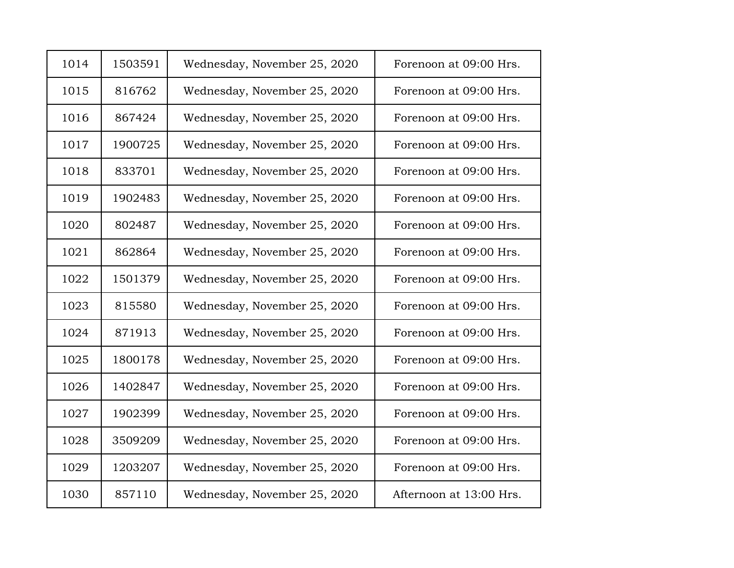| 1014 | 1503591 | Wednesday, November 25, 2020 | Forenoon at 09:00 Hrs.  |
|------|---------|------------------------------|-------------------------|
| 1015 | 816762  | Wednesday, November 25, 2020 | Forenoon at 09:00 Hrs.  |
| 1016 | 867424  | Wednesday, November 25, 2020 | Forenoon at 09:00 Hrs.  |
| 1017 | 1900725 | Wednesday, November 25, 2020 | Forenoon at 09:00 Hrs.  |
| 1018 | 833701  | Wednesday, November 25, 2020 | Forenoon at 09:00 Hrs.  |
| 1019 | 1902483 | Wednesday, November 25, 2020 | Forenoon at 09:00 Hrs.  |
| 1020 | 802487  | Wednesday, November 25, 2020 | Forenoon at 09:00 Hrs.  |
| 1021 | 862864  | Wednesday, November 25, 2020 | Forenoon at 09:00 Hrs.  |
| 1022 | 1501379 | Wednesday, November 25, 2020 | Forenoon at 09:00 Hrs.  |
| 1023 | 815580  | Wednesday, November 25, 2020 | Forenoon at 09:00 Hrs.  |
| 1024 | 871913  | Wednesday, November 25, 2020 | Forenoon at 09:00 Hrs.  |
| 1025 | 1800178 | Wednesday, November 25, 2020 | Forenoon at 09:00 Hrs.  |
| 1026 | 1402847 | Wednesday, November 25, 2020 | Forenoon at 09:00 Hrs.  |
| 1027 | 1902399 | Wednesday, November 25, 2020 | Forenoon at 09:00 Hrs.  |
| 1028 | 3509209 | Wednesday, November 25, 2020 | Forenoon at 09:00 Hrs.  |
| 1029 | 1203207 | Wednesday, November 25, 2020 | Forenoon at 09:00 Hrs.  |
| 1030 | 857110  | Wednesday, November 25, 2020 | Afternoon at 13:00 Hrs. |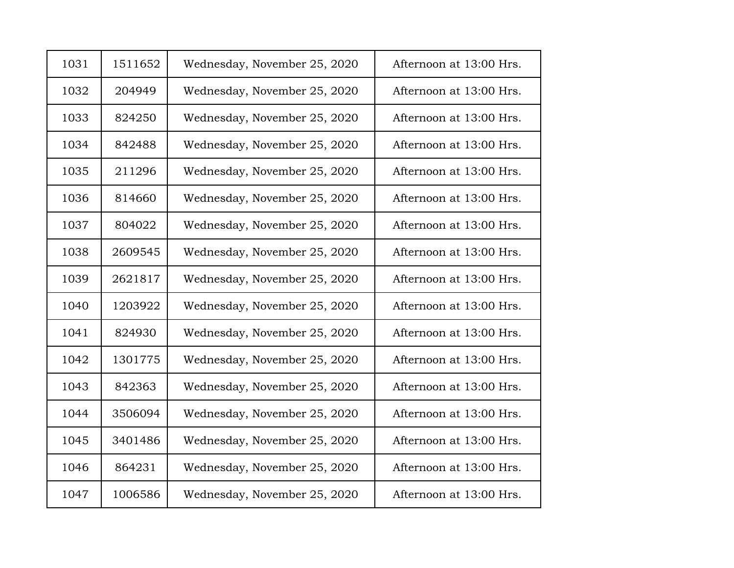| 1031 | 1511652 | Wednesday, November 25, 2020 | Afternoon at 13:00 Hrs. |
|------|---------|------------------------------|-------------------------|
| 1032 | 204949  | Wednesday, November 25, 2020 | Afternoon at 13:00 Hrs. |
| 1033 | 824250  | Wednesday, November 25, 2020 | Afternoon at 13:00 Hrs. |
| 1034 | 842488  | Wednesday, November 25, 2020 | Afternoon at 13:00 Hrs. |
| 1035 | 211296  | Wednesday, November 25, 2020 | Afternoon at 13:00 Hrs. |
| 1036 | 814660  | Wednesday, November 25, 2020 | Afternoon at 13:00 Hrs. |
| 1037 | 804022  | Wednesday, November 25, 2020 | Afternoon at 13:00 Hrs. |
| 1038 | 2609545 | Wednesday, November 25, 2020 | Afternoon at 13:00 Hrs. |
| 1039 | 2621817 | Wednesday, November 25, 2020 | Afternoon at 13:00 Hrs. |
| 1040 | 1203922 | Wednesday, November 25, 2020 | Afternoon at 13:00 Hrs. |
| 1041 | 824930  | Wednesday, November 25, 2020 | Afternoon at 13:00 Hrs. |
| 1042 | 1301775 | Wednesday, November 25, 2020 | Afternoon at 13:00 Hrs. |
| 1043 | 842363  | Wednesday, November 25, 2020 | Afternoon at 13:00 Hrs. |
| 1044 | 3506094 | Wednesday, November 25, 2020 | Afternoon at 13:00 Hrs. |
| 1045 | 3401486 | Wednesday, November 25, 2020 | Afternoon at 13:00 Hrs. |
| 1046 | 864231  | Wednesday, November 25, 2020 | Afternoon at 13:00 Hrs. |
| 1047 | 1006586 | Wednesday, November 25, 2020 | Afternoon at 13:00 Hrs. |